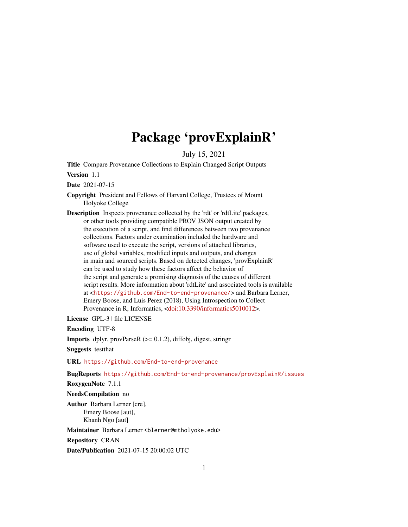# Package 'provExplainR'

July 15, 2021

Title Compare Provenance Collections to Explain Changed Script Outputs

Version 1.1

Date 2021-07-15

- Copyright President and Fellows of Harvard College, Trustees of Mount Holyoke College
- Description Inspects provenance collected by the 'rdt' or 'rdtLite' packages, or other tools providing compatible PROV JSON output created by the execution of a script, and find differences between two provenance collections. Factors under examination included the hardware and software used to execute the script, versions of attached libraries, use of global variables, modified inputs and outputs, and changes in main and sourced scripts. Based on detected changes, 'provExplainR' can be used to study how these factors affect the behavior of the script and generate a promising diagnosis of the causes of different script results. More information about 'rdtLite' and associated tools is available at <<https://github.com/End-to-end-provenance/>> and Barbara Lerner, Emery Boose, and Luis Perez (2018), Using Introspection to Collect Provenance in R, Informatics, [<doi:10.3390/informatics5010012>](https://doi.org/10.3390/informatics5010012).

License GPL-3 | file LICENSE

Encoding UTF-8

Imports dplyr, provParseR (>= 0.1.2), diffobj, digest, stringr

Suggests testthat

URL <https://github.com/End-to-end-provenance>

BugReports <https://github.com/End-to-end-provenance/provExplainR/issues>

RoxygenNote 7.1.1

NeedsCompilation no

Author Barbara Lerner [cre], Emery Boose [aut], Khanh Ngo [aut]

Maintainer Barbara Lerner <blerner@mtholyoke.edu>

Repository CRAN

Date/Publication 2021-07-15 20:00:02 UTC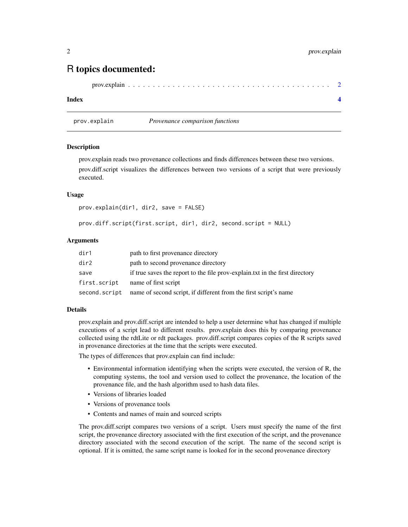# R topics documented:

```
prov.explain . . . . . . . . . . . . . . . . . . . . . . . . . . . . . . . . . . . . . . . . . 2
```
#### **Index** [4](#page-3-0)

prov.explain *Provenance comparison functions*

#### Description

prov.explain reads two provenance collections and finds differences between these two versions. prov.diff.script visualizes the differences between two versions of a script that were previously executed.

#### Usage

```
prov.explain(dir1, dir2, save = FALSE)
```
prov.diff.script(first.script, dir1, dir2, second.script = NULL)

#### Arguments

| dir1          | path to first provenance directory                                            |
|---------------|-------------------------------------------------------------------------------|
| dir2          | path to second provenance directory                                           |
| save          | if true saves the report to the file prov-explain. txt in the first directory |
| first.script  | name of first script                                                          |
| second.script | name of second script, if different from the first script's name              |

#### Details

prov.explain and prov.diff.script are intended to help a user determine what has changed if multiple executions of a script lead to different results. prov.explain does this by comparing provenance collected using the rdtLite or rdt packages. prov.diff.script compares copies of the R scripts saved in provenance directories at the time that the scripts were executed.

The types of differences that prov.explain can find include:

- Environmental information identifying when the scripts were executed, the version of R, the computing systems, the tool and version used to collect the provenance, the location of the provenance file, and the hash algorithm used to hash data files.
- Versions of libraries loaded
- Versions of provenance tools
- Contents and names of main and sourced scripts

The prov.diff.script compares two versions of a script. Users must specify the name of the first script, the provenance directory associated with the first execution of the script, and the provenance directory associated with the second execution of the script. The name of the second script is optional. If it is omitted, the same script name is looked for in the second provenance directory

<span id="page-1-0"></span>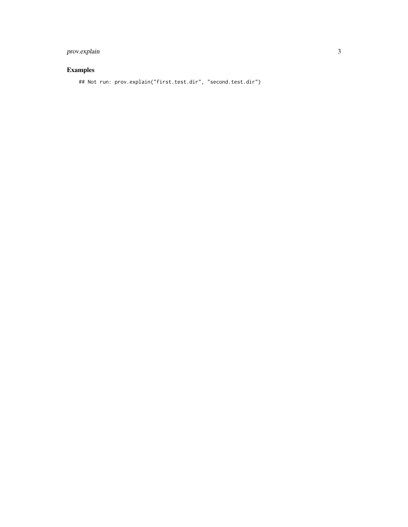## prov.explain 3

### Examples

## Not run: prov.explain("first.test.dir", "second.test.dir")